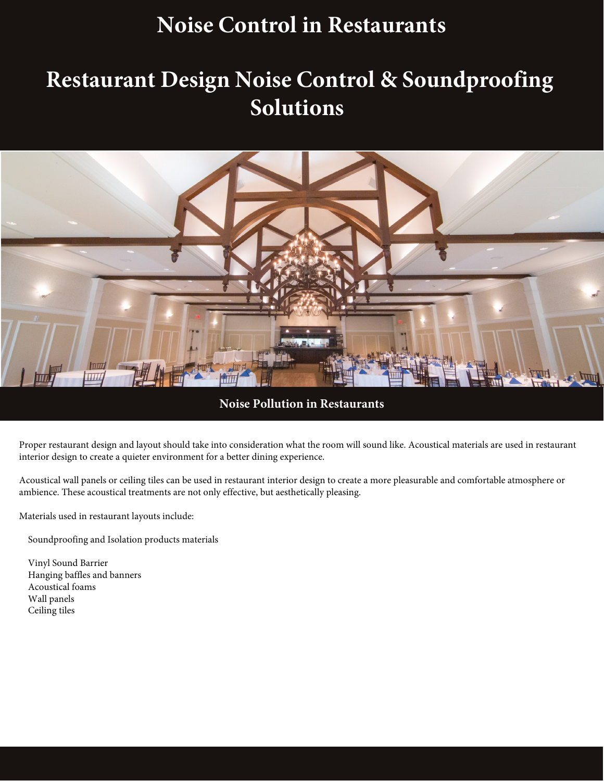### **Noise Control in Restaurants**

### **Restaurant Design Noise Control & Soundproofing Solutions**



**Noise Pollution in Restaurants**

Proper restaurant design and layout should take into consideration what the room will sound like. Acoustical materials are used in restaurant interior design to create a quieter environment for a better dining experience.

Acoustical wall panels or ceiling tiles can be used in restaurant interior design to create a more pleasurable and comfortable atmosphere or ambience. These acoustical treatments are not only effective, but aesthetically pleasing.

Materials used in restaurant layouts include:

Soundproofing and Isolation products materials

 Vinyl Sound Barrier Hanging baffles and banners Acoustical foams Wall panels Ceiling tiles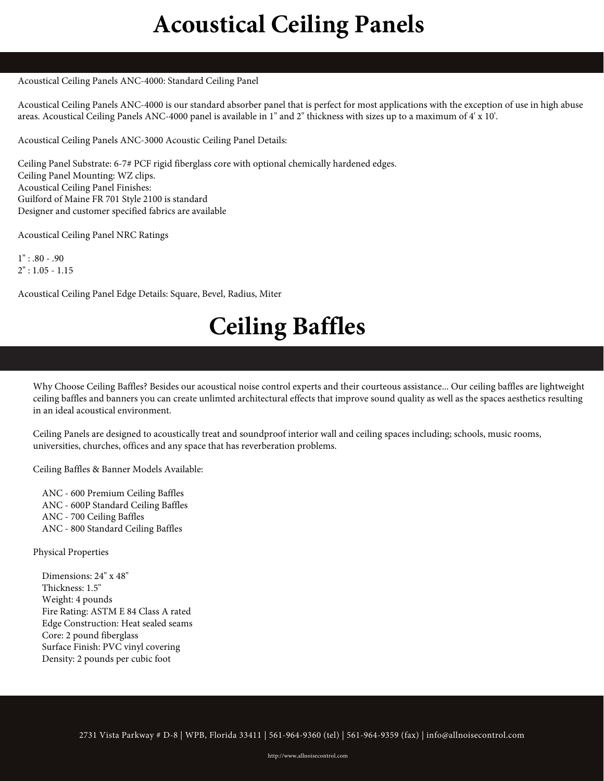## **Acoustical Ceiling Panels**

#### Acoustical Ceiling Panels ANC-4000: Standard Ceiling Panel

Acoustical Ceiling Panels ANC-4000 is our standard absorber panel that is perfect for most applications with the exception of use in high abuse areas. Acoustical Ceiling Panels ANC-4000 panel is available in 1" and 2" thickness with sizes up to a maximum of 4' x 10'.

Acoustical Ceiling Panels ANC-3000 Acoustic Ceiling Panel Details:

Ceiling Panel Substrate: 6-7# PCF rigid fiberglass core with optional chemically hardened edges. Ceiling Panel Mounting: WZ clips. Acoustical Ceiling Panel Finishes: Guilford of Maine FR 701 Style 2100 is standard Designer and customer specified fabrics are available

Acoustical Ceiling Panel NRC Ratings

 $1" : .80 - .90$  $2" : 1.05 - 1.15$ 

Acoustical Ceiling Panel Edge Details: Square, Bevel, Radius, Miter

# **Ceiling Baffles**

Why Choose Ceiling Baffles? Besides our acoustical noise control experts and their courteous assistance... Our ceiling baffles are lightweight ceiling baffles and banners you can create unlimted architectural effects that improve sound quality as well as the spaces aesthetics resulting in an ideal acoustical environment.

Ceiling Panels are designed to acoustically treat and soundproof interior wall and ceiling spaces including; schools, music rooms, universities, churches, offices and any space that has reverberation problems.

Ceiling Baffles & Banner Models Available:

 ANC - 600 Premium Ceiling Baffles ANC - 600P Standard Ceiling Baffles ANC - 700 Ceiling Baffles ANC - 800 Standard Ceiling Baffles

Physical Properties

 Dimensions: 24" x 48" Thickness: 1.5" Weight: 4 pounds Fire Rating: ASTM E 84 Class A rated Edge Construction: Heat sealed seams Core: 2 pound fiberglass Surface Finish: PVC vinyl covering Density: 2 pounds per cubic foot